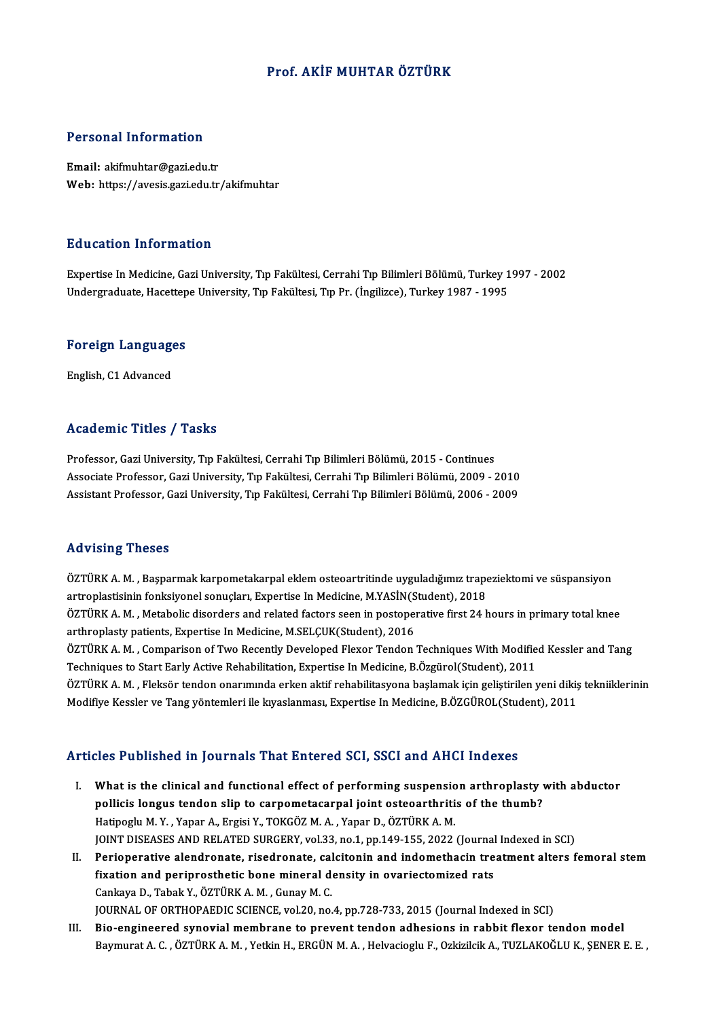#### Prof. AKİF MUHTAR ÖZTÜRK

#### Personal Information

Email: akifmuhtar@gazi.edu.tr Web: https://avesis.gazi.edu.tr/akifmuhtar

#### Education Information

Education Information<br>Expertise In Medicine, Gazi University, Tıp Fakültesi, Cerrahi Tıp Bilimleri Bölümü, Turkey 1997 - 2002<br>Undergraduate Hasettene University, Tıp Fakültesi, Cerrahi Tıp Bilimleri Bölümü, Turkey 1997 - 2 Luususion IIII of Inderon<br>Expertise In Medicine, Gazi University, Tıp Fakültesi, Cerrahi Tıp Bilimleri Bölümü, Turkey 1<br>Undergraduate, Hacettepe University, Tıp Fakültesi, Tıp Pr. (İngilizce), Turkey 1987 - 1995

## <sub>ondergraduate, nacettep</sub><br>Foreign Languages <mark>Foreign Language</mark><br>English, C1 Advanced

# English, C1 Advanced<br>Academic Titles / Tasks

Professor, Gazi University, Tıp Fakültesi, Cerrahi Tıp Bilimleri Bölümü, 2015 - Continues Associate Professor, Gazi University, Tıp Fakültesi, Cerrahi Tıp Bilimleri Bölümü, 2009 - 2010 Assistant Professor, Gazi University, Tıp Fakültesi, Cerrahi Tıp Bilimleri Bölümü, 2006 - 2009

#### Advising Theses

Advising Theses<br>ÖZTÜRK A. M. , Başparmak karpometakarpal eklem osteoartritinde uyguladığımız trapeziektomi ve süspansiyon<br>artraplasticinin fanksiyonel sanueları, Evnertise In Medisine, M.VASİN(Student), 2019 raa vasırı<sub>p</sub> - rresee<br>ÖZTÜRK A. M. , Başparmak karpometakarpal eklem osteoartritinde uyguladığımız trape<br>artroplastisinin fonksiyonel sonuçları, Expertise In Medicine, M.YASİN(Student), 2018<br>ÖZTÜPK A. M. , Metabelis diser ÖZTÜRK A. M. , Başparmak karpometakarpal eklem osteoartritinde uyguladığımız trapeziektomi ve süspansiyon<br>artroplastisinin fonksiyonel sonuçları, Expertise In Medicine, M.YASİN(Student), 2018<br>ÖZTÜRK A. M. , Metabolic disor artroplastisinin fonksiyonel sonuçları, Expertise In Medicine, M.YASİN(S<br>ÖZTÜRK A. M. , Metabolic disorders and related factors seen in postopel<br>arthroplasty patients, Expertise In Medicine, M.SELÇUK(Student), 2016<br>ÖZTÜRK ÖZTÜRK A. M. , Metabolic disorders and related factors seen in postoperative first 24 hours in primary total knee<br>arthroplasty patients, Expertise In Medicine, M.SELÇUK(Student), 2016<br>ÖZTÜRK A. M. , Comparison of Two Recen arthroplasty patients, Expertise In Medicine, M.SELÇUK(Student), 2016<br>ÖZTÜRK A. M. , Comparison of Two Recently Developed Flexor Tendon Techniques With Modifie<br>Techniques to Start Early Active Rehabilitation, Expertise In ÖZTÜRK A. M. , Comparison of Two Recently Developed Flexor Tendon Techniques With Modified Kessler and Tang<br>Techniques to Start Early Active Rehabilitation, Expertise In Medicine, B.Özgürol(Student), 2011<br>ÖZTÜRK A. M. , Fl Techniques to Start Early Active Rehabilitation, Expertise In Medicine, B.Özgürol(Student), 2011<br>ÖZTÜRK A. M. , Fleksör tendon onarımında erken aktif rehabilitasyona başlamak için geliştirilen yeni dikiş<br>Modifiye Kessler v

#### Articles Published in Journals That Entered SCI, SSCI and AHCI Indexes

- rticles Published in Journals That Entered SCI, SSCI and AHCI Indexes<br>I. What is the clinical and functional effect of performing suspension arthroplasty with abductor<br>nelligis lengus tenden alin to carnomate armal joint e politics a distribution in your hand-strict of our out, bout and strict indence<br>what is the clinical and functional effect of performing suspension arthroplasty<br>pollicis longus tendon slip to carpometacarpal joint osteoart What is the clinical and functional effect of performing suspensio<br>pollicis longus tendon slip to carpometacarpal joint osteoarthriti<br>Hatipoglu M.Y., Yapar A., Ergisi Y., TOKGÖZ M.A., Yapar D., ÖZTÜRK A.M.<br>JOINT DISEASES A pollicis longus tendon slip to carpometacarpal joint osteoarthritis of the thumb?<br>Hatipoglu M. Y. , Yapar A., Ergisi Y., TOKGÖZ M. A. , Yapar D., ÖZTÜRK A. M.<br>JOINT DISEASES AND RELATED SURGERY, vol.33, no.1, pp.149-155, 2 Hatipoglu M. Y. , Yapar A., Ergisi Y., TOKGÖZ M. A. , Yapar D., ÖZTÜRK A. M.<br>JOINT DISEASES AND RELATED SURGERY, vol.33, no.1, pp.149-155, 2022 (Journal Indexed in SCI)<br>II. Perioperative alendronate, risedronate, calcitoni
- JOINT DISEASES AND RELATED SURGERY, vol.33, no.1, pp.149-155, 2022 (Journal<br>Perioperative alendronate, risedronate, calcitonin and indomethacin tre<br>fixation and periprosthetic bone mineral density in ovariectomized rats<br>Ca Perioperative alendronate, risedronate, cal<br>fixation and periprosthetic bone mineral d<br>Cankaya D., Tabak Y., ÖZTÜRK A. M. , Gunay M. C.<br>JOUPMAL OF OPTHOPAEDIC SCIENCE vol 20, no. fixation and periprosthetic bone mineral density in ovariectomized rats<br>Cankaya D., Tabak Y., ÖZTÜRK A. M. , Gunay M. C.<br>JOURNAL OF ORTHOPAEDIC SCIENCE, vol.20, no.4, pp.728-733, 2015 (Journal Indexed in SCI)
- III. Bio-engineered synovial membrane to prevent tendon adhesions in rabbit flexor tendon model Baymurat A. C. , ÖZTÜRK A. M. , Yetkin H., ERGÜN M. A. , Helvacioglu F., Ozkizilcik A., TUZLAKOĞLU K., ŞENER E. E. ,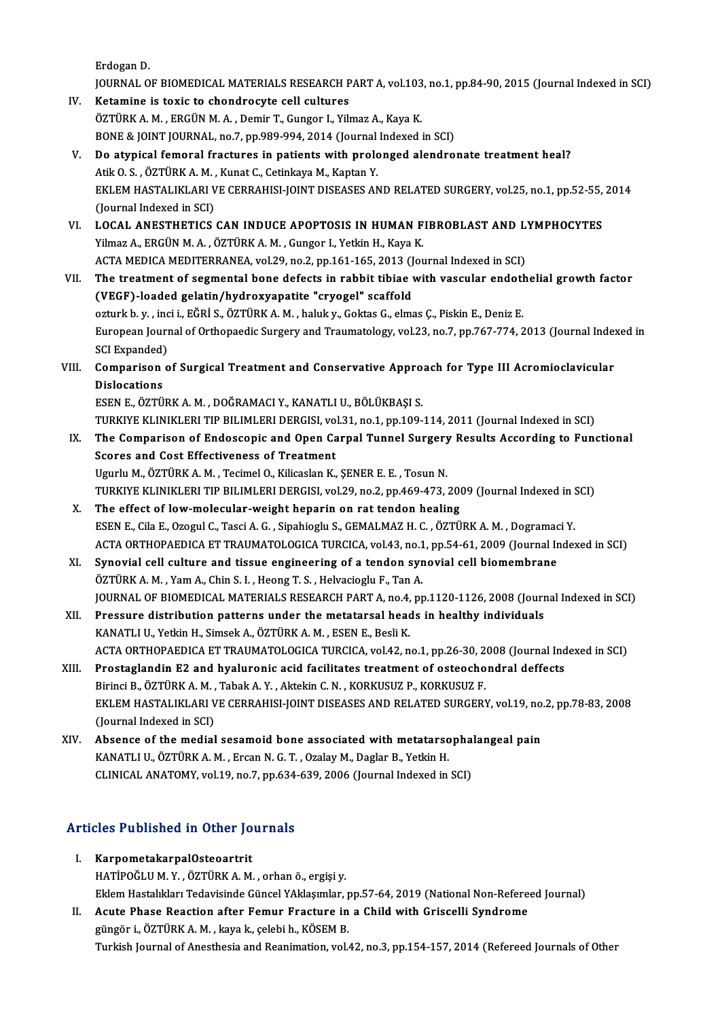ErdoganD.

Erdogan D.<br>JOURNAL OF BIOMEDICAL MATERIALS RESEARCH PART A, vol.103, no.1, pp.84-90, 2015 (Journal Indexed in SCI)<br>Ketamina is tavis to shandnasyta sell sultunes Erdogan D.<br>JOURNAL OF BIOMEDICAL MATERIALS RESEARCH P<br>IV. Ketamine is toxic to chondrocyte cell cultures

JOURNAL OF BIOMEDICAL MATERIALS RESEARCH PART A, vol.103<br>Ketamine is toxic to chondrocyte cell cultures<br>ÖZTÜRK A. M. , ERGÜN M. A. , Demir T., Gungor I., Yilmaz A., Kaya K.<br>PONE & JOINT JOURNAL no 7 nn 989-994-2914 (Jaurna IV. Ketamine is toxic to chondrocyte cell cultures<br>ÖZTÜRK A. M. , ERGÜN M. A. , Demir T., Gungor I., Yilmaz A., Kaya K.<br>BONE & JOINT JOURNAL, no.7, pp.989-994, 2014 (Journal Indexed in SCI)

- V. Do atypical femoral fractures in patients with prolonged alendronate treatment heal? BONE & JOINT JOURNAL, no.7, pp.989-994, 2014 (Journal<br>Do atypical femoral fractures in patients with prolo<br>Atik O. S. , ÖZTÜRK A. M. , Kunat C., Cetinkaya M., Kaptan Y.<br>EKLEM HASTALIKLARLVE CERRAHISLIOINT DISEASES AN EKLEM HASTALIKLARI VE CERRAHISI-JOINT DISEASES AND RELATED SURGERY, vol.25, no.1, pp.52-55, 2014<br>(Journal Indexed in SCI) Atik O. S. , ÖZTÜRK A. M. ,<br>EKLEM HASTALIKLARI V<br>(Journal Indexed in SCI)<br>LOCAL ANESTHETICS EKLEM HASTALIKLARI VE CERRAHISI-JOINT DISEASES AND RELATED SURGERY, vol.25, no.1, pp.52-55,<br>(Journal Indexed in SCI)<br>VI. LOCAL ANESTHETICS CAN INDUCE APOPTOSIS IN HUMAN FIBROBLAST AND LYMPHOCYTES<br>Vilmar A. EPCÜN M.A. ÖZTÜR
- (Journal Indexed in SCI)<br>LOCAL ANESTHETICS CAN INDUCE APOPTOSIS IN HUMAN F<br>Yilmaz A., ERGÜN M. A. , ÖZTÜRK A. M. , Gungor I., Yetkin H., Kaya K.<br>ACTA MEDICA MEDITERRANEA .vol 29. po 2. pp.161.165.2912 (Jou LOCAL ANESTHETICS CAN INDUCE APOPTOSIS IN HUMAN FIBROBLAST AND L<br>Yilmaz A., ERGÜN M. A. , ÖZTÜRK A. M. , Gungor I., Yetkin H., Kaya K.<br>ACTA MEDICA MEDITERRANEA, vol.29, no.2, pp.161-165, 2013 (Journal Indexed in SCI)<br>The t Yilmaz A., ERGÜN M. A. , ÖZTÜRK A. M. , Gungor I., Yetkin H., Kaya K.<br>ACTA MEDICA MEDITERRANEA, vol.29, no.2, pp.161-165, 2013 (Journal Indexed in SCI)<br>VII. The treatment of segmental bone defects in rabbit tibiae with
- (VEGF)-loaded gelatin/hydroxyapatite "cryogel" scaffold The treatment of segmental bone defects in rabbit tibiae with vascular endotl<br>(VEGF)-loaded gelatin/hydroxyapatite "cryogel" scaffold<br>ozturk b. y. , inci i., EĞRİ S., ÖZTÜRK A. M. , haluk y., Goktas G., elmas Ç., Piskin E. European Journal of Orthopaedic Surgery and Traumatology, vol.23, no.7, pp.767-774, 2013 (Journal Indexed in ozturk b. y. , inc<br>European Journ<br>SCI Expanded)<br>Comporison o SCI Expanded)
- VIII. Comparison of Surgical Treatment and Conservative Approach for Type III Acromioclavicular<br>Dislocations Dislocations<br>ESEN E., ÖZTÜRK A. M. , DOĞRAMACI Y., KANATLI U., BÖLÜKBAŞI S.<br>TURKIYE KLINIKLERI TIP BILIMLERI DERGISI, vol.31, no.1, pp.109-114, 2011 (Journal Indexed in SCI)<br>The Comparison of Endossonis and Open Carpal Tun

ESENE.,ÖZTÜRKA.M. ,DOĞRAMACIY.,KANATLIU.,BÖLÜKBAŞI S.

- IX. The Comparison of Endoscopic and Open Carpal Tunnel Surgery Results According to Functional TURKIYE KLINIKLERI TIP BILIMLERI DERGISI, volt<br>The Comparison of Endoscopic and Open Ca<br>Scores and Cost Effectiveness of Treatment<br>Haurly M. ÖZTÜPK A.M. Tesimel O. Kilisaslan K Ugurlu M., ÖZTÜRK A. M., Tecimel O., Kilicaslan K., ŞENER E. E., Tosun N. Scores and Cost Effectiveness of Treatment<br>Ugurlu M., ÖZTÜRK A. M. , Tecimel O., Kilicaslan K., ŞENER E. E. , Tosun N.<br>TURKIYE KLINIKLERI TIP BILIMLERI DERGISI, vol.29, no.2, pp.469-473, 2009 (Journal Indexed in SCI)<br>The e
- X. The effect of low-molecular-weight heparin on rat tendon healing<br>ESEN E., Cila E., Ozogul C., Tasci A. G., Sipahioglu S., GEMALMAZ H. C., ÖZTÜRK A. M., Dogramaci Y. TURKIYE KLINIKLERI TIP BILIMLERI DERGISI, vol.29, no.2, pp.469-473, 2009 (Journal Indexed in S. The effect of low-molecular-weight heparin on rat tendon healing<br>ESEN E., Cila E., Ozogul C., Tasci A. G. , Sipahioglu S., GEM ACTAORTHOPAEDICAETTRAUMATOLOGICATURCICA,vol.43,no.1,pp.54-61,2009 (Journal Indexed inSCI) ESEN E., Cila E., Ozogul C., Tasci A. G., Sipahioglu S., GEMALMAZ H. C., ÖZTÜRK A. M., Dogramac<br>ACTA ORTHOPAEDICA ET TRAUMATOLOGICA TURCICA, vol.43, no.1, pp.54-61, 2009 (Journal Ir<br>XI. Synovial cell culture and tissue eng
- ACTA ORTHOPAEDICA ET TRAUMATOLOGICA TURCICA, vol.43, no.1<br>Synovial cell culture and tissue engineering of a tendon syr<br>ÖZTÜRK A. M. , Yam A., Chin S. I. , Heong T. S. , Helvacioglu F., Tan A.<br>JOUPMAL OF PIOMEDICAL MATERIAL ÖZTÜRK A. M. , Yam A., Chin S. I. , Heong T. S. , Helvacioglu F., Tan A.<br>JOURNAL OF BIOMEDICAL MATERIALS RESEARCH PART A, no.4, pp.1120-1126, 2008 (Journal Indexed in SCI) ÖZTÜRK A. M., Yam A., Chin S. I., Heong T. S., Helvacioglu F., Tan A.<br>JOURNAL OF BIOMEDICAL MATERIALS RESEARCH PART A, no.4, pp.1120-1126, 2008 (Journ<br>XII. Pressure distribution patterns under the metatarsal heads in healt
- JOURNAL OF BIOMEDICAL MATERIALS RESEARCH PART A, no.4,<br>Pressure distribution patterns under the metatarsal head<br>KANATLI U., Yetkin H., Simsek A., ÖZTÜRK A. M. , ESEN E., Besli K.<br>ACTA OPTHOPAEDICA ET TRAUMATOLOCICA TURCICA KANATLI U., Yetkin H., Simsek A., ÖZTÜRK A. M. , ESEN E., Besli K.<br>ACTA ORTHOPAEDICA ET TRAUMATOLOGICA TURCICA, vol.42, no.1, pp.26-30, 2008 (Journal Indexed in SCI) KANATLI U., Yetkin H., Simsek A., ÖZTÜRK A. M. , ESEN E., Besli K.<br>ACTA ORTHOPAEDICA ET TRAUMATOLOGICA TURCICA, vol.42, no.1, pp.26-30, 2008 (Journal Ind<br>XIII. Prostaglandin E2 and hyaluronic acid facilitates treatment of
- ACTA ORTHOPAEDICA ET TRAUMATOLOGICA TURCICA, vol.42, no.1, pp.26-30, 2<br>Prostaglandin E2 and hyaluronic acid facilitates treatment of osteocho<br>Birinci B., ÖZTÜRK A. M. , Tabak A. Y. , Aktekin C. N. , KORKUSUZ P., KORKUSUZ F Prostaglandin E2 and hyaluronic acid facilitates treatment of osteochondral deffects<br>Birinci B., ÖZTÜRK A. M. , Tabak A. Y. , Aktekin C. N. , KORKUSUZ P., KORKUSUZ F.<br>EKLEM HASTALIKLARI VE CERRAHISI-JOINT DISEASES AND RELA Birinci B., ÖZTÜRK A. M. ,<br>EKLEM HASTALIKLARI V<br>(Journal Indexed in SCI)<br>Absense of the modial EKLEM HASTALIKLARI VE CERRAHISI-JOINT DISEASES AND RELATED SURGERY, vol.19, no<br>(Journal Indexed in SCI)<br>XIV. Absence of the medial sesamoid bone associated with metatarsophalangeal pain<br>KANATLIJI ÖZTÜPKA M. Ersan N.C.T. Or
- (Journal Indexed in SCI)<br>Absence of the medial sesamoid bone associated with metatarso<br>KANATLI U., ÖZTÜRK A. M. , Ercan N. G. T. , Ozalay M., Daglar B., Yetkin H.<br>CLINICAL ANATOMY vel 19 no 7 nn 634, 629, 2006 (Journal Ind Absence of the medial sesamoid bone associated with metatarsopha<br>KANATLI U., ÖZTÜRK A. M. , Ercan N. G. T. , Ozalay M., Daglar B., Yetkin H.<br>CLINICAL ANATOMY, vol.19, no.7, pp.634-639, 2006 (Journal Indexed in SCI)

# Articles Published in Other Journals

- rticles Published in Other Jo<br>I. KarpometakarpalOsteoartrit<br>HATIBOČLUM V. ÖZTÜRKA M I. KarpometakarpalOsteoartrit<br>HATİPOĞLUM.Y., ÖZTÜRKA.M., orhan ö., ergisi y. Eklem Hastalıkları Tedavisinde Güncel YAklaşımlar, pp.57-64, 2019 (National Non-Refereed Journal)
- II. Acute Phase Reaction after Femur Fracture in a Child with Griscelli Syndrome güngör i., ÖZTÜRK A. M., kaya k., çelebi h., KÖSEM B. Turkish Journal of Anesthesia and Reanimation, vol.42, no.3, pp.154-157, 2014 (Refereed Journals of Other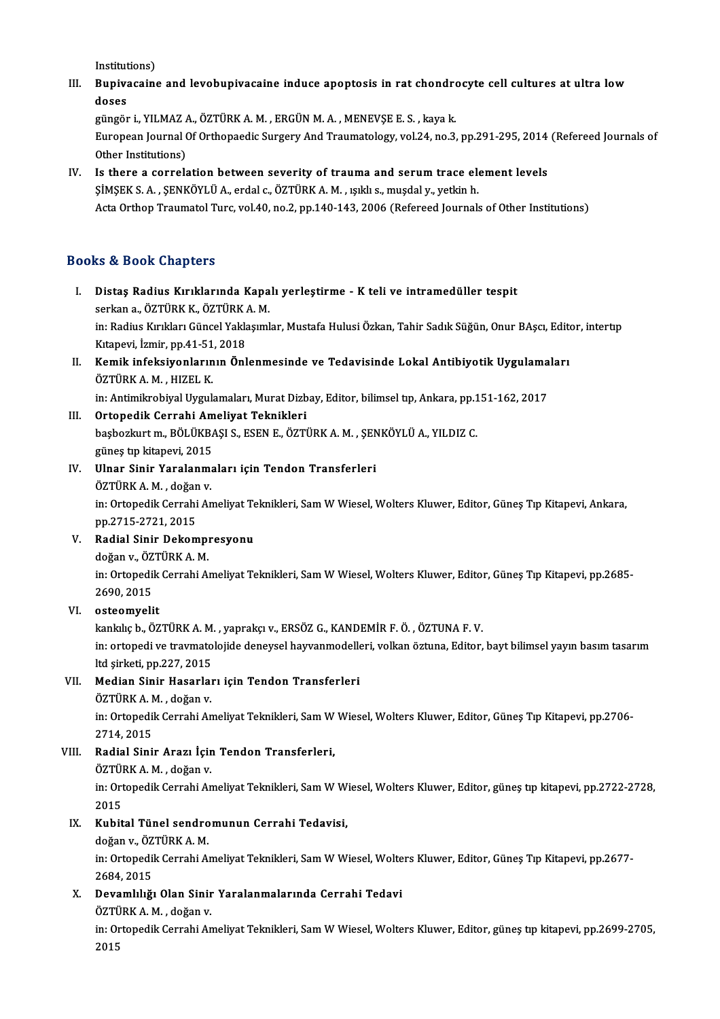Institutions)

Institutions)<br>III. Bupivacaine and levobupivacaine induce apoptosis in rat chondrocyte cell cultures at ultra low<br>desse Institut<br>Bupiva<br>doses Bupivacaine and levobupivacaine induce apoptosis in rat chondro<br>doses<br>güngör i., YILMAZ A., ÖZTÜRK A. M. , ERGÜN M. A. , MENEVŞE E. S. , kaya k.<br>European Journal Of Orthonoedia Surgeny And Traumatalogy val 34, no 3

doses<br>güngör i., YILMAZ A., ÖZTÜRK A. M. , ERGÜN M. A. , MENEVŞE E. S. , kaya k.<br>European Journal Of Orthopaedic Surgery And Traumatology, vol.24, no.3, pp.291-295, 2014 (Refereed Journals of<br>Other Institutions) güngör i., YILMAZ<br>European Journal (<br>Other Institutions)<br>Is there a serrels European Journal Of Orthopaedic Surgery And Traumatology, vol.24, no.3, pp.291-295, 2014<br>Other Institutions)<br>IV. Is there a correlation between severity of trauma and serum trace element levels<br>SIMSEK S.A. SENKÖVI Ü.A. ord

Other Institutions)<br>Is there a correlation between severity of trauma and serum trace ele<br>ŞİMŞEK S.A. ,ŞENKÖYLÜ A., erdal c., ÖZTÜRK A. M. , ışıklı s., muşdal y., yetkin h.<br>Asta Orthen Traumatel Turs vol 40 no 2 nn 140 142 ŞİMŞEK S. A. , ŞENKÖYLÜ A., erdal c., ÖZTÜRK A. M. , ışıklı s., muşdal y., yetkin h.<br>Acta Orthop Traumatol Turc, vol.40, no.2, pp.140-143, 2006 (Refereed Journals of Other Institutions)

#### Books&Book Chapters

- I. Distaş Radius Kırıklarında Kapalı yerleştirme K teli ve intramedül er tespit serkana., özründende Kapa.<br>Distaş Radius Kırıklarında Kapa.<br>serkan a., ÖZTÜRK K., ÖZTÜRK A. M. Distaş Radius Kırıklarında Kapalı yerleştirme - K teli ve intramedüller tespit<br>serkan a., ÖZTÜRK K., ÖZTÜRK A. M.<br>in: Radius Kırıkları Güncel Yaklaşımlar, Mustafa Hulusi Özkan, Tahir Sadık Süğün, Onur BAşcı, Editor, intert serkan a., ÖZTÜRK K., ÖZTÜRK<br>in: Radius Kırıkları Güncel Yakla<br>Kıtapevi, İzmir, pp.41-51, 2018<br>Kamik infeksivanlarının Önl in: Radius Kırıkları Güncel Yaklaşımlar, Mustafa Hulusi Özkan, Tahir Sadık Süğün, Onur BAşcı, Edite<br>Kıtapevi, İzmir, pp.41-51, 2018<br>II. Kemik infeksiyonlarının Önlenmesinde ve Tedavisinde Lokal Antibiyotik Uygulamaları<br>ÖZT
- Kıtapevi, İzmir, pp.41-51<br><mark>Kemik infeksiyonların</mark><br>ÖZTÜRK A. M. , HIZEL K.<br>in: Antimilmebiyal Uyaylı Kemik infeksiyonlarının Önlenmesinde ve Tedavisinde Lokal Antibiyotik Uygulama<br>ÖZTÜRK A. M. , HIZEL K.<br>in: Antimikrobiyal Uygulamaları, Murat Dizbay, Editor, bilimsel tıp, Ankara, pp.151-162, 2017<br>Ortopedik Cerrabi Ameliya ÖZTÜRK A. M. , HIZEL K.<br>in: Antimikrobiyal Uygulamaları, Murat Dizbay, Editor, bilimsel tıp, Ankara, pp.151-162, 2017<br>III. Ortopedik Cerrahi Ameliyat Teknikleri

- in: Antimikrobiyal Uygulamaları, Murat Dizbay, Editor, bilimsel tıp, Ankara, pp.1<br>Ortopedik Cerrahi Ameliyat Teknikleri<br>başbozkurt m., BÖLÜKBAŞI S., ESEN E., ÖZTÜRK A. M. , ŞENKÖYLÜ A., YILDIZ C.<br>Tünes tıp kitapevi, 2015 Ortopedik Cerrahi Am<br>başbozkurt m., BÖLÜKBA<br>güneş tıp kitapevi, 2015<br>Ulnar Sinir Yaralanma başbozkurt m., BÖLÜKBAŞI S., ESEN E., ÖZTÜRK A. M. , ŞEN<br>güneş tıp kitapevi, 2015<br>IV. Ulnar Sinir Yaralanmaları için Tendon Transferleri<br>ÖZTÜPK A. M. doğan y.
- güneş tıp kitapevi, 2015<br>Ulnar Sinir Yaralanm:<br>ÖZTÜRK A. M. , doğan v.<br>in: Ortonodik Carrabi Ar Ulnar Sinir Yaralanmaları için Tendon Transferleri<br>ÖZTÜRK A. M. , doğan v.<br>in: Ortopedik Cerrahi Ameliyat Teknikleri, Sam W Wiesel, Wolters Kluwer, Editor, Güneş Tıp Kitapevi, Ankara,<br>nn 2715-2721-2015

ÖZTÜRK A. M. , doğan<br>in: Ortopedik Cerrahi<br>pp.2715-2721, 2015<br>Bodial Sinir Dokom in: Ortopedik Cerrahi Ameliyat Te<br>pp.2715-2721, 2015<br>V. Radial Sinir Dekompresyonu

pp.2715-2721, 2015<br>V. – **Radial Sinir Dekompresyonu**<br>doğan v., ÖZTÜRK A. M.

Radial Sinir Dekompresyonu<br>doğan v., ÖZTÜRK A. M.<br>in: Ortopedik Cerrahi Ameliyat Teknikleri, Sam W Wiesel, Wolters Kluwer, Editor, Güneş Tıp Kitapevi, pp.2685-<br>2690-2015 doğan v., ÖZ<br>in: Ortopedil<br>2690, 2015<br>ostoomueli

### 2690, 2015<br>VI. **osteomyelit**

kankılıçb.,ÖZTÜRKA.M. ,yaprakçıv.,ERSÖZG.,KANDEMİRF.Ö. ,ÖZTUNAF.V. in: ortopedi ve travmatolojide deneysel hayvanmodelleri, volkan öztuna, Editor, bayt bilimsel yayın basım tasarım kankılıç b., ÖZTÜRK A. M.<br>in: ortopedi ve travmato<br>ltd şirketi, pp.227, 2015<br>Median Sinin Hasarlar ltd şirketi, pp.227, 2015<br><mark>Median Sinir Hasarla</mark>ı<br>ÖZTÜRK A. M. , doğan v.<br>in: Ortonedik Cerrabi Ar

#### VII. Median Sinir Hasarları için Tendon Transferleri

ÖZTÜRK A. M., doğan v.

in: Ortopedik Cerrahi Ameliyat Teknikleri, Sam W Wiesel, Wolters Kluwer, Editor, Güneş Tıp Kitapevi, pp.2706-2714, 2015 in: Ortopedik Cerrahi Ameliyat Teknikleri, Sam W<br>2714, 2015<br>VIII. Radial Sinir Arazı İçin Tendon Transferleri,<br>ÖZTÜPKA Madğan v

## 2714, 2015<br><mark>Radial Sinir Arazı İçir</mark><br>ÖZTÜRK A. M. , doğan v.<br>in: Ortonedik Cerrabi Ar

Radial Sinir Arazı İçin Tendon Transferleri,<br>ÖZTÜRK A. M. , doğan v.<br>in: Ortopedik Cerrahi Ameliyat Teknikleri, Sam W Wiesel, Wolters Kluwer, Editor, güneş tıp kitapevi, pp.2722-2728,<br>2015 ÖZTÜI<br>in: Ort<br>2015<br>Kubit 2015<br><mark>Kubital Tünel sendro</mark><br>doğan v., ÖZTÜRK A. M.<br>in: Ortonodik Cerrebi A.

### IX. Kubital Tünel sendromunun Cerrahi Tedavisi,

in: Ortopedik Cerrahi Ameliyat Teknikleri, Sam W Wiesel, Wolters Kluwer, Editor, Güneş Tıp Kitapevi, pp.2677-<br>2684, 2015 doğan v., ÖZ<br>in: Ortopedil<br>2684, 2015<br>Dovamlılığı in: Ortopedik Cerrahi Ameliyat Teknikleri, Sam W Wiesel, Wolte<br>2684, 2015<br>X. Devamlılığı Olan Sinir Yaralanmalarında Cerrahi Tedavi<br>ÖZTÜPKA M. değen y 2684, 2015<br>Devamlılığı Olan Sinir<br>ÖZTÜRK A.M. , doğan v.<br>in: Ortanedik Cerrahi Ar

Devamlılığı Olan Sinir Yaralanmalarında Cerrahi Tedavi<br>ÖZTÜRK A. M. , doğan v.<br>in: Ortopedik Cerrahi Ameliyat Teknikleri, Sam W Wiesel, Wolters Kluwer, Editor, güneş tıp kitapevi, pp.2699-2705,<br>2015 ÖZTÜ<br>in: Or<br>2015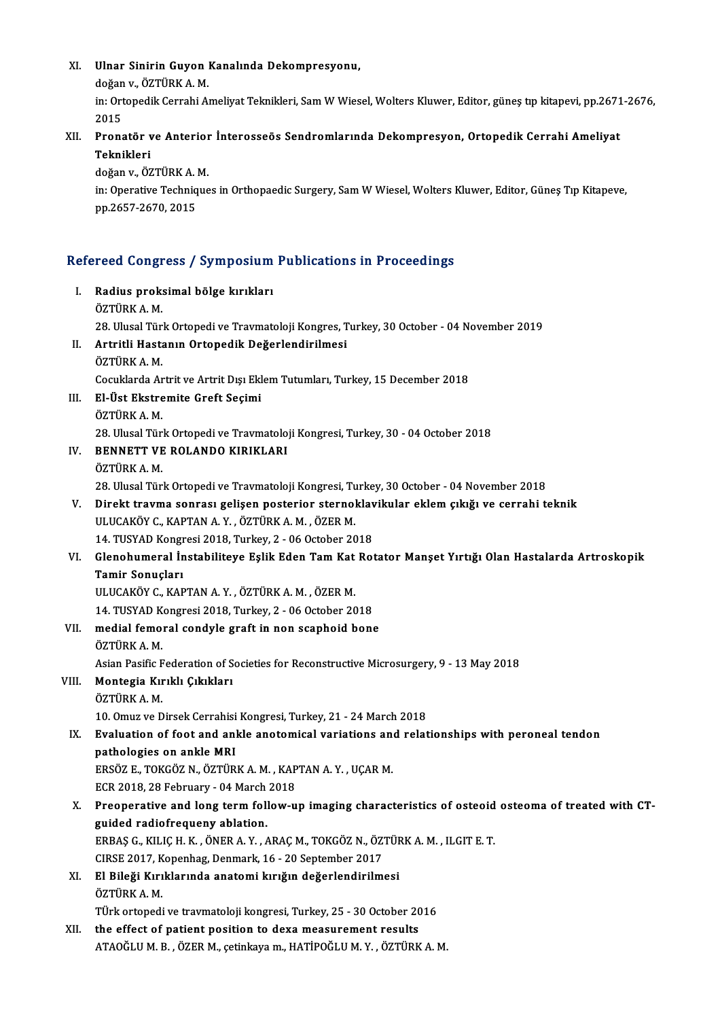| XI.   | Ulnar Sinirin Guyon Kanalında Dekompresyonu,<br>doğan v., ÖZTÜRK A.M.                                                             |
|-------|-----------------------------------------------------------------------------------------------------------------------------------|
|       | in: Ortopedik Cerrahi Ameliyat Teknikleri, Sam W Wiesel, Wolters Kluwer, Editor, güneş tıp kitapevi, pp.2671-2676,<br>2015        |
| XII.  | Pronatör ve Anterior İnterosseös Sendromlarında Dekompresyon, Ortopedik Cerrahi Ameliyat<br>Teknikleri                            |
|       | doğan v., ÖZTÜRK A. M.                                                                                                            |
|       | in: Operative Techniques in Orthopaedic Surgery, Sam W Wiesel, Wolters Kluwer, Editor, Güneş Tıp Kitapeve,<br>pp 2657-2670, 2015  |
|       | Refereed Congress / Symposium Publications in Proceedings                                                                         |
| L     | Radius proksimal bölge kırıkları<br>ÖZTÜRK A.M.                                                                                   |
|       | 28. Ulusal Türk Ortopedi ve Travmatoloji Kongres, Turkey, 30 October - 04 November 2019                                           |
| П.    | Artritli Hastanın Ortopedik Değerlendirilmesi<br>ÖZTÜRK A.M.                                                                      |
|       | Cocuklarda Artrit ve Artrit Dışı Eklem Tutumları, Turkey, 15 December 2018                                                        |
| III.  | El-Üst Ekstremite Greft Seçimi                                                                                                    |
|       | ÖZTÜRK A.M.                                                                                                                       |
|       | 28. Ulusal Türk Ortopedi ve Travmatoloji Kongresi, Turkey, 30 - 04 October 2018                                                   |
| IV.   | BENNETT VE ROLANDO KIRIKLARI                                                                                                      |
|       | ÖZTÜRK A M                                                                                                                        |
|       | 28. Ulusal Türk Ortopedi ve Travmatoloji Kongresi, Turkey, 30 October - 04 November 2018                                          |
| V.    | Direkt travma sonrası gelişen posterior sternoklavikular eklem çıkığı ve cerrahi teknik                                           |
|       | ULUCAKÖY C., KAPTAN A Y., ÖZTÜRK A M., ÖZER M.                                                                                    |
|       | 14. TUSYAD Kongresi 2018, Turkey, 2 - 06 October 2018                                                                             |
| VI.   | Glenohumeral İnstabiliteye Eşlik Eden Tam Kat Rotator Manşet Yırtığı Olan Hastalarda Artroskopik                                  |
|       | Tamir Sonuçları                                                                                                                   |
|       | ULUCAKÖY C., KAPTAN A.Y., ÖZTÜRK A.M., ÖZER M.                                                                                    |
| VII.  | 14. TUSYAD Kongresi 2018, Turkey, 2 - 06 October 2018<br>medial femoral condyle graft in non scaphoid bone                        |
|       | ÖZTÜRK A.M.                                                                                                                       |
|       | Asian Pasific Federation of Societies for Reconstructive Microsurgery, 9 - 13 May 2018                                            |
| VIII. | Montegia Kırıklı Çıkıkları                                                                                                        |
|       | ÖZTÜRK A.M.                                                                                                                       |
|       | 10. Omuz ve Dirsek Cerrahisi Kongresi, Turkey, 21 - 24 March 2018                                                                 |
| IX.   | Evaluation of foot and ankle anotomical variations and relationships with peroneal tendon                                         |
|       | pathologies on ankle MRI                                                                                                          |
|       | ERSÖZ E., TOKGÖZ N., ÖZTÜRK A. M., KAPTAN A. Y., UÇAR M.                                                                          |
|       | ECR 2018, 28 February - 04 March 2018                                                                                             |
| X.    | Preoperative and long term follow-up imaging characteristics of osteoid osteoma of treated with CT-                               |
|       | guided radiofrequeny ablation.                                                                                                    |
|       | ERBAŞ G., KILIÇ H. K., ÖNER A. Y., ARAÇ M., TOKGÖZ N., ÖZTÜRK A. M., ILGIT E. T.                                                  |
|       | CIRSE 2017, Kopenhag, Denmark, 16 - 20 September 2017                                                                             |
| XI.   | El Bileği Kırıklarında anatomi kırığın değerlendirilmesi                                                                          |
|       | ÖZTÜRK A.M.                                                                                                                       |
|       | TÜrk ortopedi ve travmatoloji kongresi, Turkey, 25 - 30 October 2016                                                              |
| XII.  | the effect of patient position to dexa measurement results<br>ATAOĞLU M. B., ÖZER M., çetinkaya m., HATİPOĞLU M. Y., ÖZTÜRK A. M. |
|       |                                                                                                                                   |